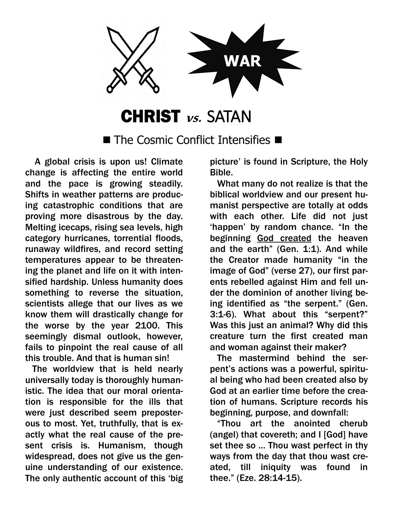

## CHRIST **vs.** SATAN

 $\blacksquare$  The Cosmic Conflict Intensifies  $\blacksquare$ 

 A global crisis is upon us! Climate change is affecting the entire world and the pace is growing steadily. Shifts in weather patterns are producing catastrophic conditions that are proving more disastrous by the day. Melting icecaps, rising sea levels, high category hurricanes, torrential floods, runaway wildfires, and record setting temperatures appear to be threatening the planet and life on it with intensified hardship. Unless humanity does something to reverse the situation, scientists allege that our lives as we know them will drastically change for the worse by the year 2100. This seemingly dismal outlook, however, fails to pinpoint the real cause of all this trouble. And that is human sin!

 The worldview that is held nearly universally today is thoroughly humanistic. The idea that our moral orientation is responsible for the ills that were just described seem preposterous to most. Yet, truthfully, that is exactly what the real cause of the present crisis is. Humanism, though widespread, does not give us the genuine understanding of our existence. The only authentic account of this 'big picture' is found in Scripture, the Holy Bible.

 What many do not realize is that the biblical worldview and our present humanist perspective are totally at odds with each other. Life did not just 'happen' by random chance. "In the beginning God created the heaven and the earth" (Gen. 1:1). And while the Creator made humanity "in the image of God" (verse 27), our first parents rebelled against Him and fell under the dominion of another living being identified as "the serpent." (Gen. 3:1-6). What about this "serpent?" Was this just an animal? Why did this creature turn the first created man and woman against their maker?

 The mastermind behind the serpent's actions was a powerful, spiritual being who had been created also by God at an earlier time before the creation of humans. Scripture records his beginning, purpose, and downfall:

 "Thou art the anointed cherub (angel) that covereth; and I [God] have set thee so … Thou wast perfect in thy ways from the day that thou wast created, till iniquity was found in thee." (Eze. 28:14-15).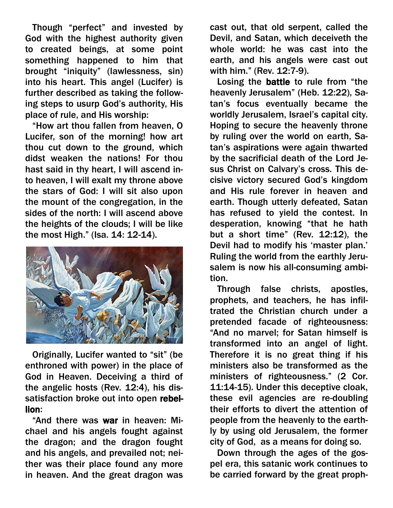Though "perfect" and invested by God with the highest authority given to created beings, at some point something happened to him that brought "iniquity" (lawlessness, sin) into his heart. This angel (Lucifer) is further described as taking the following steps to usurp God's authority, His place of rule, and His worship:

 "How art thou fallen from heaven, O Lucifer, son of the morning! how art thou cut down to the ground, which didst weaken the nations! For thou hast said in thy heart, I will ascend into heaven, I will exalt my throne above the stars of God: I will sit also upon the mount of the congregation, in the sides of the north: I will ascend above the heights of the clouds; I will be like the most High." (Isa. 14: 12-14).



 Originally, Lucifer wanted to "sit" (be enthroned with power) in the place of God in Heaven. Deceiving a third of the angelic hosts (Rev. 12:4), his dissatisfaction broke out into open rebellion:

 "And there was war in heaven: Michael and his angels fought against the dragon; and the dragon fought and his angels, and prevailed not; neither was their place found any more in heaven. And the great dragon was

cast out, that old serpent, called the Devil, and Satan, which deceiveth the whole world: he was cast into the earth, and his angels were cast out with him." (Rev. 12:7-9).

 Losing the battle to rule from "the heavenly Jerusalem" (Heb. 12:22), Satan's focus eventually became the worldly Jerusalem, Israel's capital city. Hoping to secure the heavenly throne by ruling over the world on earth, Satan's aspirations were again thwarted by the sacrificial death of the Lord Jesus Christ on Calvary's cross. This decisive victory secured God's kingdom and His rule forever in heaven and earth. Though utterly defeated, Satan has refused to yield the contest. In desperation, knowing "that he hath but a short time" (Rev. 12:12), the Devil had to modify his 'master plan.' Ruling the world from the earthly Jerusalem is now his all-consuming ambition.

 Through false christs, apostles, prophets, and teachers, he has infiltrated the Christian church under a pretended facade of righteousness: "And no marvel; for Satan himself is transformed into an angel of light. Therefore it is no great thing if his ministers also be transformed as the ministers of righteousness." (2 Cor. 11:14-15). Under this deceptive cloak, these evil agencies are re-doubling their efforts to divert the attention of people from the heavenly to the earthly by using old Jerusalem, the former city of God, as a means for doing so.

 Down through the ages of the gospel era, this satanic work continues to be carried forward by the great proph-